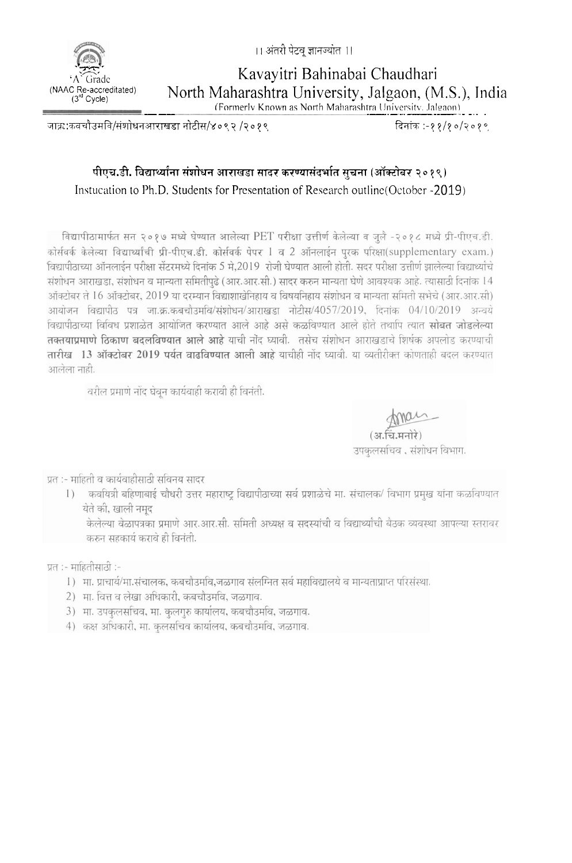।। अंतरी पेटव् ज्ञानज्यात ।।

Kavayitri Bahinabai Chaudhari North Maharashtra University, Jalgaon, (M.S.), India

(Formerly Known as North Maharashtra University, Jalgaon).

जाक्र:कवचौउमवि/संशोधनआराखडा नोटीस/४०९२ /२०१९

दिनांक:-११/१०/२०१०

## पीएच.डी. विद्यार्थ्यांना संशोधन आराखडा सादर करण्यासंदर्भात सूचना (ऑक्टोबर २०१९) Instucation to Ph.D. Students for Presentation of Research outline (October -2019)

विद्यापीठामार्फत सन २०१७ मध्ये घेण्यात आलेल्या PET परीक्षा उत्तीर्ण केलेल्या व जूलै -२०१८ मध्ये प्री-पीएच.डी. कोर्सवर्क केलेल्या विद्यार्थ्याची प्री-पीएच.डी. कोर्सवर्क पेपर 1 व 2 ऑनलाईन पुरक परिक्षा(supplementary exam.) विद्यापीठाच्या ऑनलाईन परीक्षा सेंटरमध्ये दिनांक 5 मे,2019 रोजी घेण्यात आली होती. सदर परीक्षा उत्तीर्ण झालेल्या विद्यार्थ्याचे संशोधन आराखड़ा, संशोधन व मान्यता समितीपढ़े (आर.आर.सी.) सादर करुन मान्यता घेणे आवश्यक आहे. त्यासाठी दिनांक 14 ऑक्टोबर ते 16 ऑक्टोबर, 2019 या दरम्यान विद्याशाखेनिहाय व विषयनिहाय संशोधन व मान्यता समिती सभेचे (आर.आर.सी) आयोजन विद्यापीठ पत्र जा.क्र.कबचौडमवि/संशोधन/आराखडा नोटीस/4057/2019, दिनांक 04/10/2019 अन्वये विद्यापीठाच्या विविध प्रशाळेत आयोजित करण्यात आले आहे असे कळविण्यात आले होते तथापि त्यात सोबत जोडलेल्या तक्तयाप्रमाणे ठिकाण बदलविण्यात आले आहे याची नोंद घ्यावी. तसेच संशोधन आराखडाचे शिर्षक अपलोड करण्याची तारीख 13 ऑक्टोबर 2019 पर्यंत वाढविण्यात आली आहे याचीही नोंद घ्यावी. या व्यतीरीक्त कोणताही बदल करण्यात आलेला नाही.

वरील प्रमाणे नोंद घेवून कार्यवाही करावी ही विनंती.

(अ.चि.मनोरे)

उपकलसचिव , संशोधन विभाग.

प्रत :- माहिती व कार्यवाहीसाठी सविनय सादर

कवयित्री बहिणाबाई चौधरी उत्तर महाराष्ट्र विद्यापीठाच्या सर्व प्रशाळेचे मा. संचालक/ विभाग प्रमुख यांना कळविण्यात  $\left( \right)$ येते की, खाली नमुद

केलेल्या वेळापत्रका प्रमाणे आर.आर.सी. समिती अध्यक्ष व सदस्यांची व विद्यार्थ्यांची बैठक व्यवस्था आपल्या स्तरावर करुन सहकार्य करावे ही विनंती.

प्रत :- माहितीसाठी :-

- 1) मा. प्राचार्य/मा.संचालक, कबचौडमवि,जळगाव संलग्नित सर्व महाविद्यालये व मान्यताप्राप्त परिसंस्था.
- 2) मा. वित्त व लेखा अधिकारी, कबचौउमवि, जळगाव.
- 3) मा. उपकुलसचिव, मा. कुलगुरु कार्यालय, कबचौउमवि, जळगाव.
- 4) कक्ष अधिकारी, मा. कुलसचिव कार्यालय, कबचौउमवि, जळगाव.

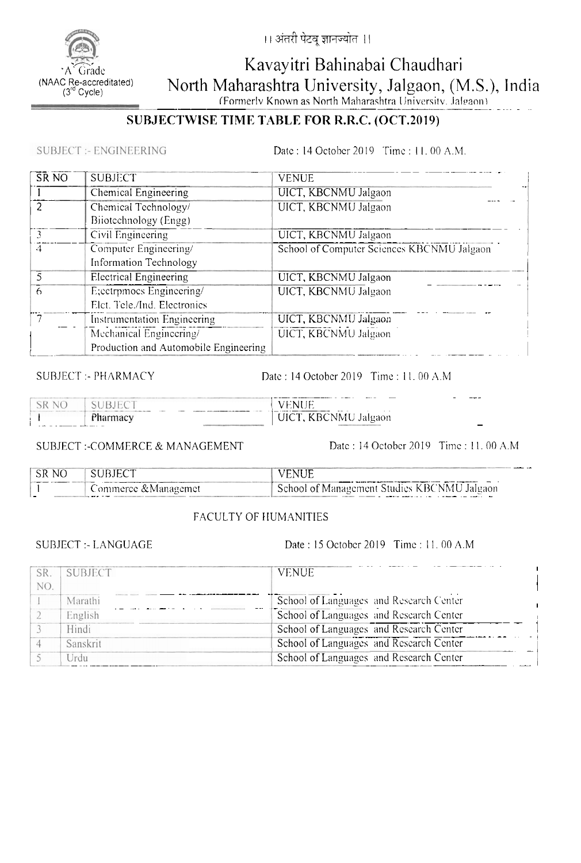

।। अंतरी पेटवू ज्ञानज्योत ।।

# Kavayitri Bahinabai Chaudhari North Maharashtra University, Jalgaon, (M.S.), India

(Formerly Known as North Maharashtra University, Jalgaon)

### SUBJECTWISE TIME TABLE FOR R.R.C. (OCT.2019)

**SUBJECT:- ENGINEERING** 

Date: 14 October 2019 Time: 11, 00 A.M.

| SR <sub>NO</sub> | <b>SUBJECT</b>                        | <b>VENUE</b>                               |
|------------------|---------------------------------------|--------------------------------------------|
|                  | Chemical Engineering                  | UICT, KBCNMU Jalgaon                       |
|                  | Chemical Technology/                  | UICT, KBCNMU Jalgaon                       |
|                  | Biiotechnology (Engg)                 |                                            |
|                  | Civil Engineering                     | UICT, KBCNMU Jalgaon                       |
| 4                | Computer Engineering/                 | School of Computer Sciences KBCNMU Jalgaon |
|                  | Information Technology                |                                            |
|                  | <b>Electrical Engineering</b>         | UICT, KBCNMU Jalgaon                       |
| 6                | E;ectrpmocs Engineering/              | UICT, KBCNMU Jalgaon                       |
|                  | Elet. Tele./Ind. Electronics          |                                            |
|                  | Instrumentation Engineering           | UICT, KBCNMU Jalgaon                       |
|                  | Mechanical Engineering/               | UICT, KBCNMU Jalgaon                       |
|                  | Production and Automobile Engineering |                                            |

**SUBJECT:- PHARMACY** 

Date: 14 October 2019 Time: 11, 00 A.M

| $\sim$ K | __<br>___<br>11 I E<br>N<br>E.<br>.<br>. | ___    |
|----------|------------------------------------------|--------|
|          | -KRCNMH<br>Jalgaon<br>ш                  | $\sim$ |

**SUBJECT:-COMMERCE & MANAGEMENT** 

Date: 14 October 2019 Time: 11, 00 A.M

| SR NO | . SUBJECT            |                                                          |
|-------|----------------------|----------------------------------------------------------|
| -     | Commerce & Managemet | <sup>1</sup> School of Management Studies KBCNMU Jalgaon |

#### FACULTY OF HUMANITIES

**SUBJECT :- LANGUAGE** 

Date: 15 October 2019 Time: 11.00 A.M

| SR.<br>NO. | <b>SUBJECT</b> | <b>VENUE</b>                            |
|------------|----------------|-----------------------------------------|
|            | Marathi        | School of Languages and Research Center |
|            | English        | School of Languages and Research Center |
|            | Hindi          | School of Languages and Research Center |
|            | Sanskrit       | School of Languages and Research Center |
|            | Urdu           | School of Languages and Research Center |